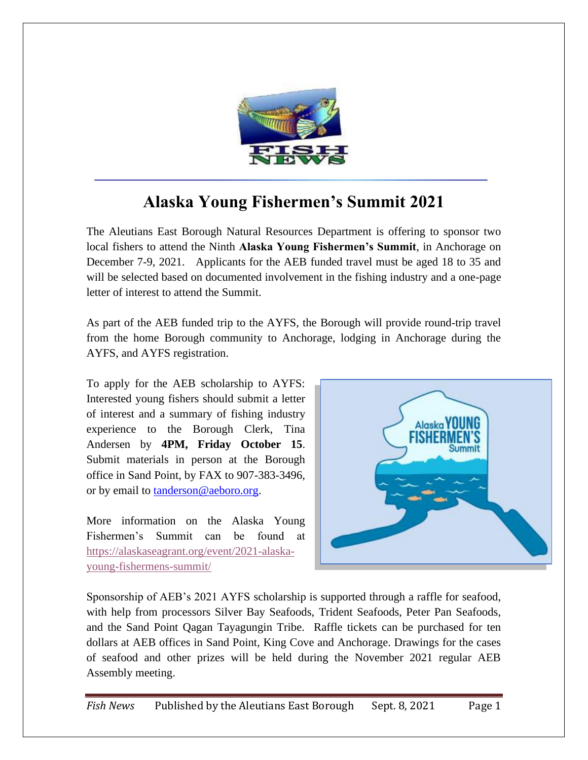

## **Alaska Young Fishermen's Summit 2021**

The Aleutians East Borough Natural Resources Department is offering to sponsor two local fishers to attend the Ninth **Alaska Young Fishermen's Summit**, in Anchorage on December 7-9, 2021. Applicants for the AEB funded travel must be aged 18 to 35 and will be selected based on documented involvement in the fishing industry and a one-page letter of interest to attend the Summit.

As part of the AEB funded trip to the AYFS, the Borough will provide round-trip travel from the home Borough community to Anchorage, lodging in Anchorage during the AYFS, and AYFS registration.

To apply for the AEB scholarship to AYFS: Interested young fishers should submit a letter of interest and a summary of fishing industry experience to the Borough Clerk, Tina Andersen by **4PM, Friday October 15**. Submit materials in person at the Borough office in Sand Point, by FAX to 907-383-3496, or by email to [tanderson@aeboro.org.](mailto:tanderson@aeboro.org)

More information on the Alaska Young Fishermen's Summit can be found at [https://alaskaseagrant.org/event/2021-alaska](https://alaskaseagrant.org/event/2021-alaska-young-fishermens-summit/)[young-fishermens-summit/](https://alaskaseagrant.org/event/2021-alaska-young-fishermens-summit/)



Sponsorship of AEB's 2021 AYFS scholarship is supported through a raffle for seafood, with help from processors Silver Bay Seafoods, Trident Seafoods, Peter Pan Seafoods, and the Sand Point Qagan Tayagungin Tribe. Raffle tickets can be purchased for ten dollars at AEB offices in Sand Point, King Cove and Anchorage. Drawings for the cases of seafood and other prizes will be held during the November 2021 regular AEB Assembly meeting.